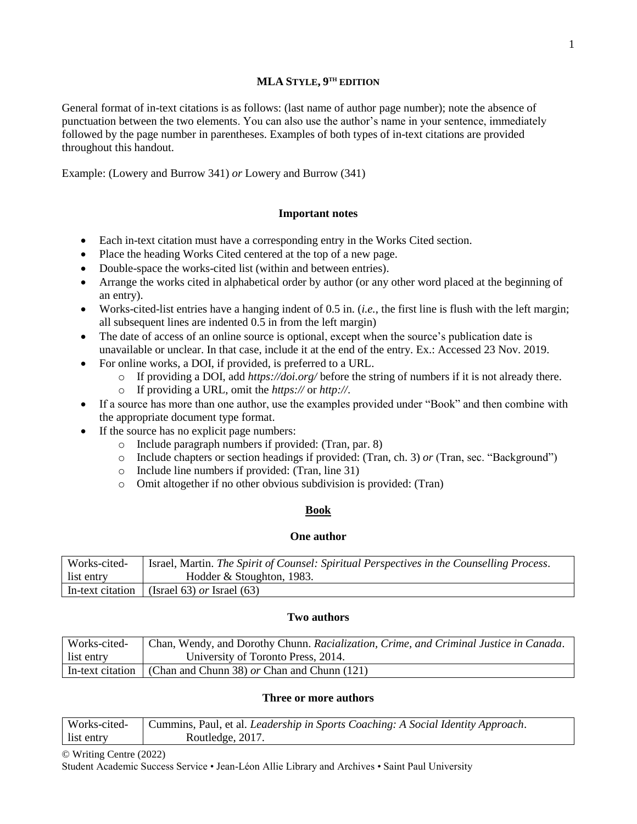#### **MLA STYLE, 9 TH EDITION**

General format of in-text citations is as follows: (last name of author page number); note the absence of punctuation between the two elements. You can also use the author's name in your sentence, immediately followed by the page number in parentheses. Examples of both types of in-text citations are provided throughout this handout.

Example: (Lowery and Burrow 341) *or* Lowery and Burrow (341)

### **Important notes**

- Each in-text citation must have a corresponding entry in the Works Cited section.
- Place the heading Works Cited centered at the top of a new page.
- Double-space the works-cited list (within and between entries).
- Arrange the works cited in alphabetical order by author (or any other word placed at the beginning of an entry).
- Works-cited-list entries have a hanging indent of 0.5 in. (*i.e.*, the first line is flush with the left margin; all subsequent lines are indented 0.5 in from the left margin)
- The date of access of an online source is optional, except when the source's publication date is unavailable or unclear. In that case, include it at the end of the entry. Ex.: Accessed 23 Nov. 2019.
- For online works, a DOI, if provided, is preferred to a URL.
	- o If providing a DOI, add *https://doi.org/* before the string of numbers if it is not already there.
	- o If providing a URL, omit the *https://* or *http://*.
- If a source has more than one author, use the examples provided under "Book" and then combine with the appropriate document type format.
- If the source has no explicit page numbers:
	- o Include paragraph numbers if provided: (Tran, par. 8)
	- o Include chapters or section headings if provided: (Tran, ch. 3) *or* (Tran, sec. "Background")
	- o Include line numbers if provided: (Tran, line 31)
	- o Omit altogether if no other obvious subdivision is provided: (Tran)

# **Book**

### **One author**

| Works-cited-     | Israel, Martin. The Spirit of Counsel: Spiritual Perspectives in the Counselling Process. |
|------------------|-------------------------------------------------------------------------------------------|
| list entry       | Hodder & Stoughton, 1983.                                                                 |
| In-text citation | (Israel 63) <i>or</i> Israel (63)                                                         |

### **Two authors**

| Works-cited- | Chan, Wendy, and Dorothy Chunn. Racialization, Crime, and Criminal Justice in Canada. |
|--------------|---------------------------------------------------------------------------------------|
| list entry   | University of Toronto Press, 2014.                                                    |
|              | In-text citation (Chan and Chunn 38) or Chan and Chunn $(121)$                        |

### **Three or more authors**

| Works-cited- | Cummins, Paul, et al. <i>Leadership in Sports Coaching: A Social Identity Approach.</i> |
|--------------|-----------------------------------------------------------------------------------------|
| list entry   | Routledge, 2017.                                                                        |

© Writing Centre (2022)

Student Academic Success Service • Jean-Léon Allie Library and Archives • Saint Paul University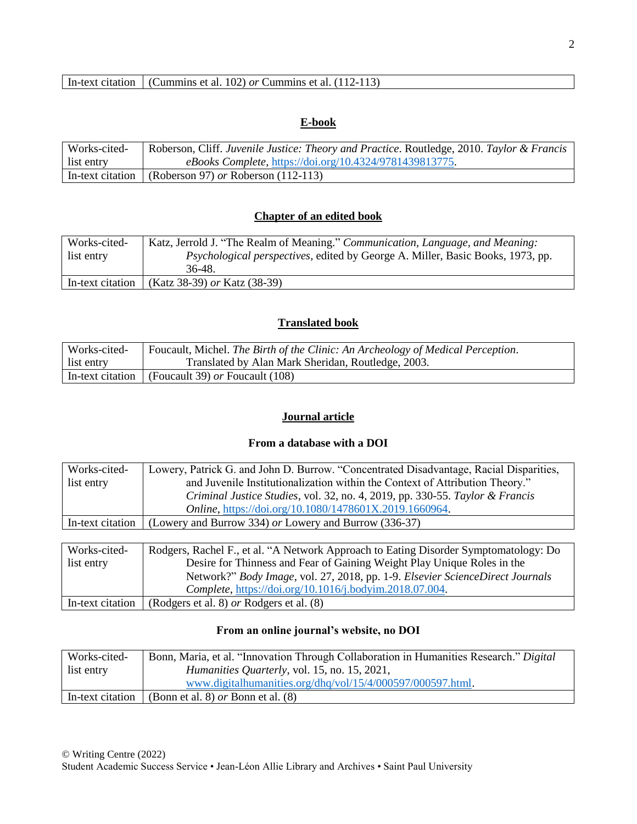## **E-book**

| Works-cited-     | Roberson, Cliff. Juvenile Justice: Theory and Practice. Routledge, 2010. Taylor & Francis |
|------------------|-------------------------------------------------------------------------------------------|
| list entry       | eBooks Complete, https://doi.org/10.4324/9781439813775.                                   |
| In-text citation | (Roberson 97) or Roberson $(112-113)$                                                     |

## **Chapter of an edited book**

| Works-cited-     | Katz, Jerrold J. "The Realm of Meaning." Communication, Language, and Meaning:        |
|------------------|---------------------------------------------------------------------------------------|
| list entry       | <i>Psychological perspectives, edited by George A. Miller, Basic Books, 1973, pp.</i> |
|                  | 36-48.                                                                                |
| In-text citation | (Katz 38-39) or Katz (38-39)                                                          |

# **Translated book**

| Works-cited- | Foucault, Michel. The Birth of the Clinic: An Archeology of Medical Perception. |
|--------------|---------------------------------------------------------------------------------|
| list entry   | Translated by Alan Mark Sheridan, Routledge, 2003.                              |
|              | In-text citation (Foucault 39) or Foucault (108)                                |

## **Journal article**

### **From a database with a DOI**

| Works-cited-     | Lowery, Patrick G. and John D. Burrow. "Concentrated Disadvantage, Racial Disparities, |
|------------------|----------------------------------------------------------------------------------------|
| list entry       | and Juvenile Institutionalization within the Context of Attribution Theory."           |
|                  | Criminal Justice Studies, vol. 32, no. 4, 2019, pp. 330-55. Taylor & Francis           |
|                  | Online, https://doi.org/10.1080/1478601X.2019.1660964.                                 |
| In-text citation | (Lowery and Burrow 334) or Lowery and Burrow (336-37)                                  |
|                  |                                                                                        |
| Worke oited      | Dodgers, Bookel E at al. "A Natural: Approach to Esting Disorder Symptomatology: Do    |

| Works-cited-     | Rodgers, Rachel F., et al. "A Network Approach to Eating Disorder Symptomatology: Do |
|------------------|--------------------------------------------------------------------------------------|
| list entry       | Desire for Thinness and Fear of Gaining Weight Play Unique Roles in the              |
|                  | Network?" Body Image, vol. 27, 2018, pp. 1-9. Elsevier ScienceDirect Journals        |
|                  | <i>Complete, https://doi.org/10.1016/j.bodyim.2018.07.004.</i>                       |
| In-text citation | (Rodgers et al. 8) <i>or</i> Rodgers et al. (8)                                      |

# **From an online journal's website, no DOI**

| Works-cited-     | Bonn, Maria, et al. "Innovation Through Collaboration in Humanities Research." Digital |
|------------------|----------------------------------------------------------------------------------------|
| list entry       | <i>Humanities Quarterly, vol.</i> 15, no. 15, 2021,                                    |
|                  | www.digitalhumanities.org/dhq/vol/15/4/000597/000597.html.                             |
| In-text citation | (Bonn et al. 8) <i>or</i> Bonn et al. $(8)$                                            |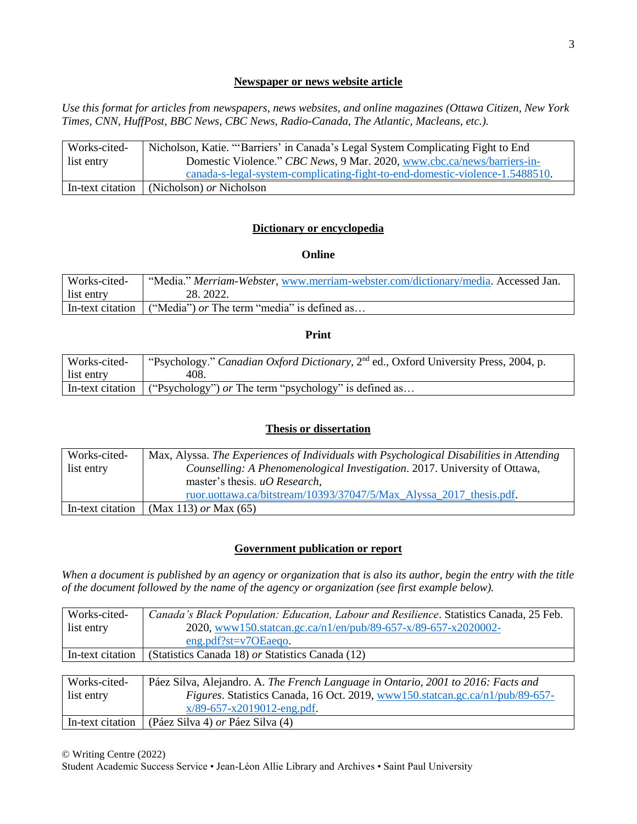## **Newspaper or news website article**

*Use this format for articles from newspapers, news websites, and online magazines (Ottawa Citizen, New York Times, CNN, HuffPost, BBC News, CBC News, Radio-Canada, The Atlantic, Macleans, etc.).*

| Works-cited-     | Nicholson, Katie. "'Barriers' in Canada's Legal System Complicating Fight to End |
|------------------|----------------------------------------------------------------------------------|
| list entry       | Domestic Violence." CBC News, 9 Mar. 2020, www.cbc.ca/news/barriers-in-          |
|                  | canada-s-legal-system-complicating-fight-to-end-domestic-violence-1.5488510.     |
| In-text citation | (Nicholson) <i>or</i> Nicholson                                                  |

# **Dictionary or encyclopedia**

### **Online**

| Works-cited-     | "Media." Merriam-Webster, www.merriam-webster.com/dictionary/media. Accessed Jan. |
|------------------|-----------------------------------------------------------------------------------|
| list entry       | 28. 2022.                                                                         |
| In-text citation | ("Media") or The term "media" is defined as                                       |

#### **Print**

| Works-cited- | "Psychology." Canadian Oxford Dictionary, 2 <sup>nd</sup> ed., Oxford University Press, 2004, p. |
|--------------|--------------------------------------------------------------------------------------------------|
| list entry   | 408.                                                                                             |
|              | In-text citation $\int$ ("Psychology") <i>or</i> The term "psychology" is defined as             |

### **Thesis or dissertation**

| Works-cited-<br>list entry | Max, Alyssa. The Experiences of Individuals with Psychological Disabilities in Attending<br>Counselling: A Phenomenological Investigation. 2017. University of Ottawa,<br>master's thesis. $uO$ Research, |
|----------------------------|-----------------------------------------------------------------------------------------------------------------------------------------------------------------------------------------------------------|
|                            | ruor.uottawa.ca/bitstream/10393/37047/5/Max Alyssa 2017 thesis.pdf.                                                                                                                                       |
| In-text citation           | (Max 113) or Max $(65)$                                                                                                                                                                                   |

### **Government publication or report**

*When a document is published by an agency or organization that is also its author, begin the entry with the title of the document followed by the name of the agency or organization (see first example below).*

| Works-cited-     | Canada's Black Population: Education, Labour and Resilience. Statistics Canada, 25 Feb. |
|------------------|-----------------------------------------------------------------------------------------|
| list entry       | 2020, www150.statcan.gc.ca/n1/en/pub/89-657-x/89-657-x2020002-                          |
|                  | $eng.pdf?st=v7OEaeqo.$                                                                  |
| In-text citation | (Statistics Canada 18) or Statistics Canada (12)                                        |
|                  |                                                                                         |
| Works-cited-     | Páez Silva, Alejandro. A. The French Language in Ontario, 2001 to 2016: Facts and       |
| list entry       | <i>Figures</i> Statistics Canada 16 Oct 2019 www.150 statean gc $ca/n1/nub/89-657-$     |

| list entry | Figures. Statistics Canada, 16 Oct. 2019, www150.statcan.gc.ca/n1/pub/89-657- |
|------------|-------------------------------------------------------------------------------|
|            | $x/89-657-x2019012$ -eng.pdf.                                                 |
|            | In-text citation   (Páez Silva 4) <i>or</i> Páez Silva (4)                    |

© Writing Centre (2022)

Student Academic Success Service • Jean-Léon Allie Library and Archives • Saint Paul University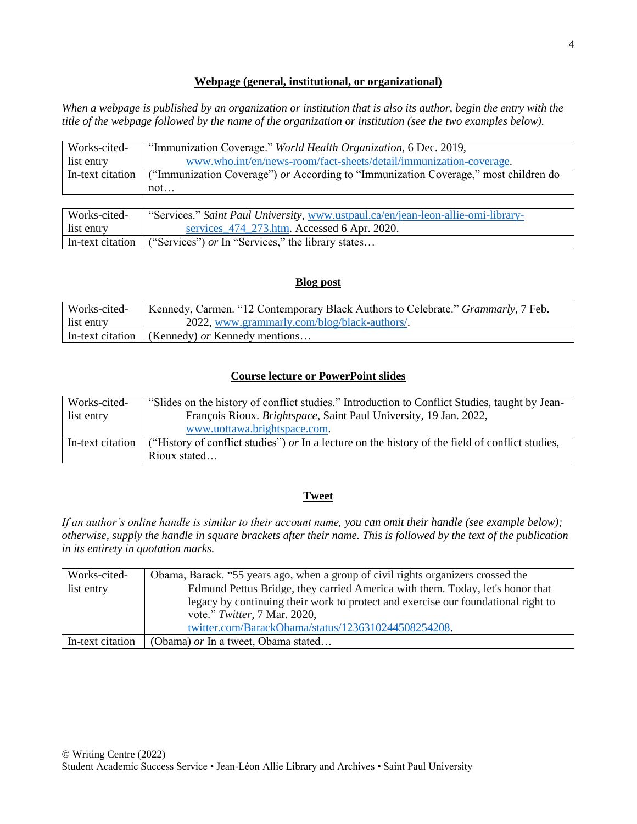## **Webpage (general, institutional, or organizational)**

*When a webpage is published by an organization or institution that is also its author, begin the entry with the title of the webpage followed by the name of the organization or institution (see the two examples below).*

| Works-cited-     | "Immunization Coverage." World Health Organization, 6 Dec. 2019,                    |
|------------------|-------------------------------------------------------------------------------------|
| list entry       | www.who.int/en/news-room/fact-sheets/detail/immunization-coverage.                  |
| In-text citation | ("Immunization Coverage") or According to "Immunization Coverage," most children do |
|                  | not                                                                                 |

| Works-cited- | "Services." Saint Paul University, www.ustpaul.ca/en/jean-leon-allie-omi-library- |
|--------------|-----------------------------------------------------------------------------------|
| list entry   | services 474 273.htm. Accessed 6 Apr. 2020.                                       |
|              | In-text citation $\int$ ("Services") <i>or</i> In "Services," the library states  |

### **Blog post**

| Works-cited- | Kennedy, Carmen. "12 Contemporary Black Authors to Celebrate." <i>Grammarly</i> , 7 Feb. |
|--------------|------------------------------------------------------------------------------------------|
| list entry   | 2022, www.grammarly.com/blog/black-authors/                                              |
|              | In-text citation (Kennedy) or Kennedy mentions                                           |

## **Course lecture or PowerPoint slides**

| Works-cited- | "Slides on the history of conflict studies." Introduction to Conflict Studies, taught by Jean-                                  |
|--------------|---------------------------------------------------------------------------------------------------------------------------------|
| list entry   | François Rioux. <i>Brightspace</i> , Saint Paul University, 19 Jan. 2022,                                                       |
|              | www.uottawa.brightspace.com.                                                                                                    |
|              | In-text citation $\int$ ("History of conflict studies") <i>or</i> In a lecture on the history of the field of conflict studies, |
|              | Rioux stated                                                                                                                    |

### **Tweet**

*If an author's online handle is similar to their account name, you can omit their handle (see example below); otherwise, supply the handle in square brackets after their name. This is followed by the text of the publication in its entirety in quotation marks.*

| Works-cited-     | Obama, Barack. "55 years ago, when a group of civil rights organizers crossed the |
|------------------|-----------------------------------------------------------------------------------|
| list entry       | Edmund Pettus Bridge, they carried America with them. Today, let's honor that     |
|                  | legacy by continuing their work to protect and exercise our foundational right to |
|                  | vote." Twitter, 7 Mar. 2020,                                                      |
|                  | twitter.com/BarackObama/status/1236310244508254208.                               |
| In-text citation | (Obama) or In a tweet, Obama stated                                               |